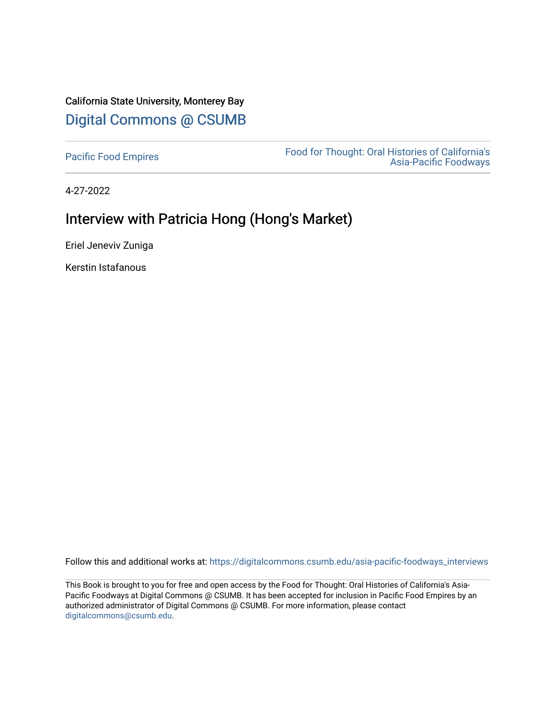# California State University, Monterey Bay [Digital Commons @ CSUMB](https://digitalcommons.csumb.edu/)

[Pacific Food Empires](https://digitalcommons.csumb.edu/asia-pacific-foodways_interviews) Food for Thought: Oral Histories of California's [Asia-Pacific Foodways](https://digitalcommons.csumb.edu/asia-pacific-foodways) 

4-27-2022

# Interview with Patricia Hong (Hong's Market)

Eriel Jeneviv Zuniga

Kerstin Istafanous

Follow this and additional works at: [https://digitalcommons.csumb.edu/asia-pacific-foodways\\_interviews](https://digitalcommons.csumb.edu/asia-pacific-foodways_interviews?utm_source=digitalcommons.csumb.edu%2Fasia-pacific-foodways_interviews%2F19&utm_medium=PDF&utm_campaign=PDFCoverPages) 

This Book is brought to you for free and open access by the Food for Thought: Oral Histories of California's Asia-Pacific Foodways at Digital Commons @ CSUMB. It has been accepted for inclusion in Pacific Food Empires by an authorized administrator of Digital Commons @ CSUMB. For more information, please contact [digitalcommons@csumb.edu](mailto:digitalcommons@csumb.edu).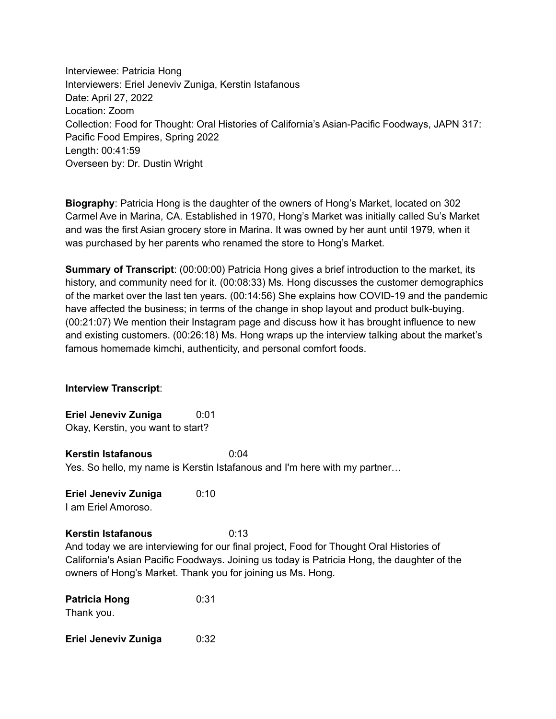Interviewee: Patricia Hong Interviewers: Eriel Jeneviv Zuniga, Kerstin Istafanous Date: April 27, 2022 Location: Zoom Collection: Food for Thought: Oral Histories of California's Asian-Pacific Foodways, JAPN 317: Pacific Food Empires, Spring 2022 Length: 00:41:59 Overseen by: Dr. Dustin Wright

**Biography**: Patricia Hong is the daughter of the owners of Hong's Market, located on 302 Carmel Ave in Marina, CA. Established in 1970, Hong's Market was initially called Su's Market and was the first Asian grocery store in Marina. It was owned by her aunt until 1979, when it was purchased by her parents who renamed the store to Hong's Market.

**Summary of Transcript**: (00:00:00) Patricia Hong gives a brief introduction to the market, its history, and community need for it. (00:08:33) Ms. Hong discusses the customer demographics of the market over the last ten years. (00:14:56) She explains how COVID-19 and the pandemic have affected the business; in terms of the change in shop layout and product bulk-buying. (00:21:07) We mention their Instagram page and discuss how it has brought influence to new and existing customers. (00:26:18) Ms. Hong wraps up the interview talking about the market's famous homemade kimchi, authenticity, and personal comfort foods.

#### **Interview Transcript**:

**Eriel Jeneviv Zuniga** 0:01 Okay, Kerstin, you want to start?

**Kerstin Istafanous** 0:04 Yes. So hello, my name is Kerstin Istafanous and I'm here with my partner…

**Eriel Jeneviv Zuniga** 0:10 I am Eriel Amoroso.

**Kerstin Istafanous** 0:13

And today we are interviewing for our final project, Food for Thought Oral Histories of California's Asian Pacific Foodways. Joining us today is Patricia Hong, the daughter of the owners of Hong's Market. Thank you for joining us Ms. Hong.

| <b>Patricia Hong</b> | 0:31 |
|----------------------|------|
| Thank you.           |      |
|                      |      |

**Eriel Jeneviv Zuniga** 0:32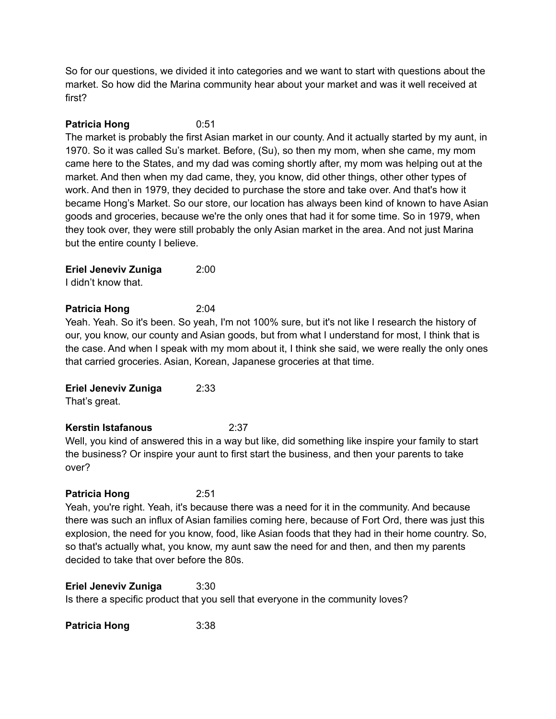So for our questions, we divided it into categories and we want to start with questions about the market. So how did the Marina community hear about your market and was it well received at first?

### **Patricia Hong** 0:51

The market is probably the first Asian market in our county. And it actually started by my aunt, in 1970. So it was called Su's market. Before, (Su), so then my mom, when she came, my mom came here to the States, and my dad was coming shortly after, my mom was helping out at the market. And then when my dad came, they, you know, did other things, other other types of work. And then in 1979, they decided to purchase the store and take over. And that's how it became Hong's Market. So our store, our location has always been kind of known to have Asian goods and groceries, because we're the only ones that had it for some time. So in 1979, when they took over, they were still probably the only Asian market in the area. And not just Marina but the entire county I believe.

**Eriel Jeneviv Zuniga** 2:00

I didn't know that.

### **Patricia Hong** 2:04

Yeah. Yeah. So it's been. So yeah, I'm not 100% sure, but it's not like I research the history of our, you know, our county and Asian goods, but from what I understand for most, I think that is the case. And when I speak with my mom about it, I think she said, we were really the only ones that carried groceries. Asian, Korean, Japanese groceries at that time.

### **Eriel Jeneviv Zuniga** 2:33

That's great.

### **Kerstin Istafanous** 2:37

Well, you kind of answered this in a way but like, did something like inspire your family to start the business? Or inspire your aunt to first start the business, and then your parents to take over?

### **Patricia Hong** 2:51

Yeah, you're right. Yeah, it's because there was a need for it in the community. And because there was such an influx of Asian families coming here, because of Fort Ord, there was just this explosion, the need for you know, food, like Asian foods that they had in their home country. So, so that's actually what, you know, my aunt saw the need for and then, and then my parents decided to take that over before the 80s.

**Eriel Jeneviv Zuniga** 3:30 Is there a specific product that you sell that everyone in the community loves?

**Patricia Hong** 3:38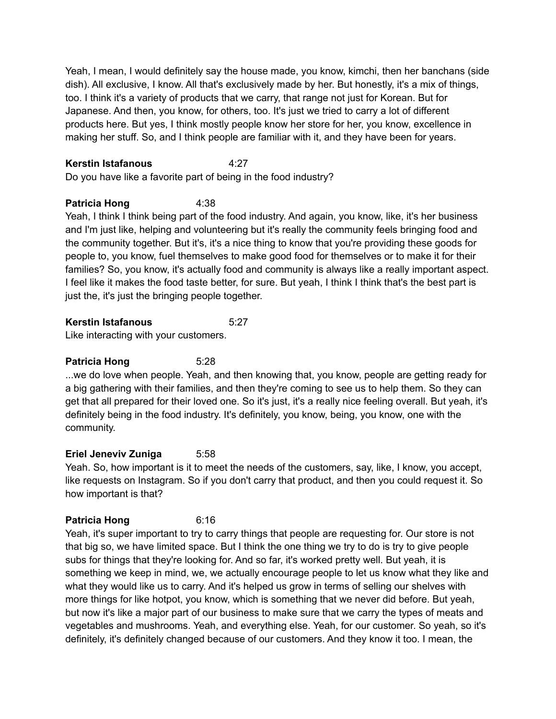Yeah, I mean, I would definitely say the house made, you know, kimchi, then her banchans (side dish). All exclusive, I know. All that's exclusively made by her. But honestly, it's a mix of things, too. I think it's a variety of products that we carry, that range not just for Korean. But for Japanese. And then, you know, for others, too. It's just we tried to carry a lot of different products here. But yes, I think mostly people know her store for her, you know, excellence in making her stuff. So, and I think people are familiar with it, and they have been for years.

### **Kerstin Istafanous** 4:27

Do you have like a favorite part of being in the food industry?

# **Patricia Hong** 4:38

Yeah, I think I think being part of the food industry. And again, you know, like, it's her business and I'm just like, helping and volunteering but it's really the community feels bringing food and the community together. But it's, it's a nice thing to know that you're providing these goods for people to, you know, fuel themselves to make good food for themselves or to make it for their families? So, you know, it's actually food and community is always like a really important aspect. I feel like it makes the food taste better, for sure. But yeah, I think I think that's the best part is just the, it's just the bringing people together.

### **Kerstin Istafanous** 5:27

Like interacting with your customers.

# **Patricia Hong** 5:28

...we do love when people. Yeah, and then knowing that, you know, people are getting ready for a big gathering with their families, and then they're coming to see us to help them. So they can get that all prepared for their loved one. So it's just, it's a really nice feeling overall. But yeah, it's definitely being in the food industry. It's definitely, you know, being, you know, one with the community.

# **Eriel Jeneviv Zuniga** 5:58

Yeah. So, how important is it to meet the needs of the customers, say, like, I know, you accept, like requests on Instagram. So if you don't carry that product, and then you could request it. So how important is that?

### **Patricia Hong** 6:16

Yeah, it's super important to try to carry things that people are requesting for. Our store is not that big so, we have limited space. But I think the one thing we try to do is try to give people subs for things that they're looking for. And so far, it's worked pretty well. But yeah, it is something we keep in mind, we, we actually encourage people to let us know what they like and what they would like us to carry. And it's helped us grow in terms of selling our shelves with more things for like hotpot, you know, which is something that we never did before. But yeah, but now it's like a major part of our business to make sure that we carry the types of meats and vegetables and mushrooms. Yeah, and everything else. Yeah, for our customer. So yeah, so it's definitely, it's definitely changed because of our customers. And they know it too. I mean, the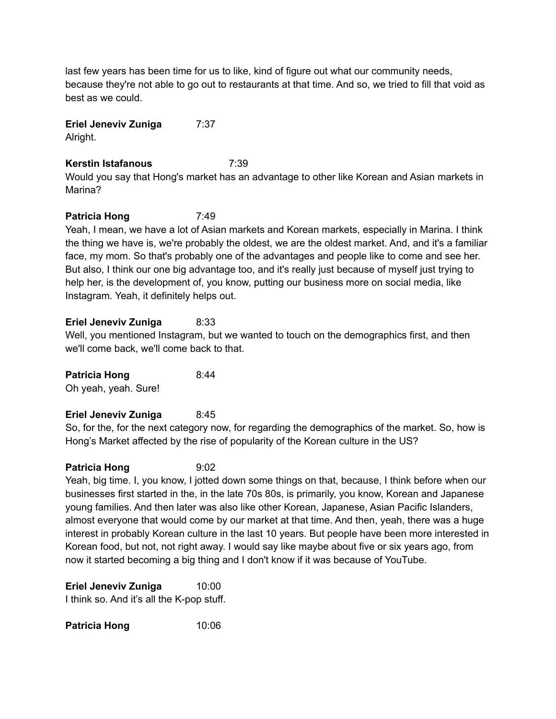last few years has been time for us to like, kind of figure out what our community needs, because they're not able to go out to restaurants at that time. And so, we tried to fill that void as best as we could.

# **Eriel Jeneviv Zuniga** 7:37

Alright.

# **Kerstin Istafanous** 7:39

Would you say that Hong's market has an advantage to other like Korean and Asian markets in Marina?

# **Patricia Hong** 7:49

Yeah, I mean, we have a lot of Asian markets and Korean markets, especially in Marina. I think the thing we have is, we're probably the oldest, we are the oldest market. And, and it's a familiar face, my mom. So that's probably one of the advantages and people like to come and see her. But also, I think our one big advantage too, and it's really just because of myself just trying to help her, is the development of, you know, putting our business more on social media, like Instagram. Yeah, it definitely helps out.

### **Eriel Jeneviv Zuniga** 8:33

Well, you mentioned Instagram, but we wanted to touch on the demographics first, and then we'll come back, we'll come back to that.

**Patricia Hong** 8:44

Oh yeah, yeah. Sure!

### **Eriel Jeneviv Zuniga** 8:45

So, for the, for the next category now, for regarding the demographics of the market. So, how is Hong's Market affected by the rise of popularity of the Korean culture in the US?

### **Patricia Hong** 9:02

Yeah, big time. I, you know, I jotted down some things on that, because, I think before when our businesses first started in the, in the late 70s 80s, is primarily, you know, Korean and Japanese young families. And then later was also like other Korean, Japanese, Asian Pacific Islanders, almost everyone that would come by our market at that time. And then, yeah, there was a huge interest in probably Korean culture in the last 10 years. But people have been more interested in Korean food, but not, not right away. I would say like maybe about five or six years ago, from now it started becoming a big thing and I don't know if it was because of YouTube.

**Eriel Jeneviv Zuniga** 10:00 I think so. And it's all the K-pop stuff.

**Patricia Hong** 10:06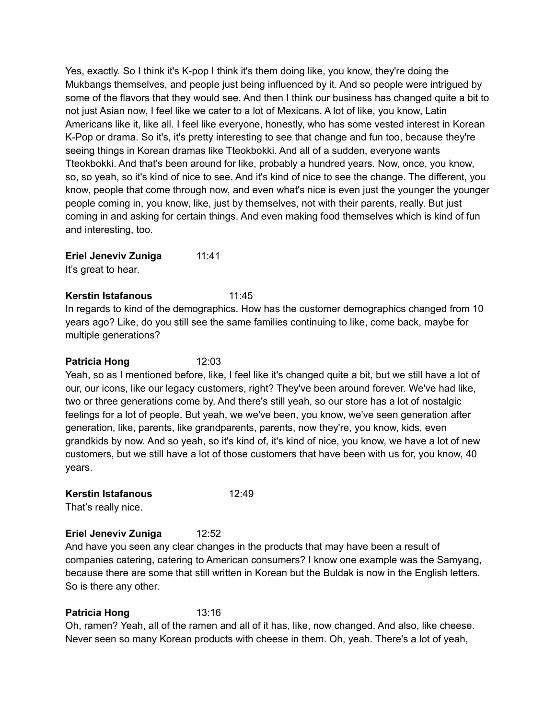Yes, exactly. So I think it's K-pop I think it's them doing like, you know, they're doing the Mukbangs themselves, and people just being influenced by it. And so people were intrigued by some of the flavors that they would see. And then I think our business has changed quite a bit to not just Asian now, I feel like we cater to a lot of Mexicans. A lot of like, you know, Latin Americans like it, like all. I feel like everyone, honestly, who has some vested interest in Korean K-Pop or drama. So it's, it's pretty interesting to see that change and fun too, because they're seeing things in Korean dramas like Tteokbokki. And all of a sudden, everyone wants Tteokbokki. And that's been around for like, probably a hundred years. Now, once, you know, so, so yeah, so it's kind of nice to see. And it's kind of nice to see the change. The different, you know, people that come through now, and even what's nice is even just the younger the younger people coming in, you know, like, just by themselves, not with their parents, really. But just coming in and asking for certain things. And even making food themselves which is kind of fun and interesting, too.

**Eriel Jeneviv Zuniga** 11:41

It's great to hear.

### **Kerstin Istafanous** 11:45

In regards to kind of the demographics. How has the customer demographics changed from 10 years ago? Like, do you still see the same families continuing to like, come back, maybe for multiple generations?

### **Patricia Hong** 12:03

Yeah, so as I mentioned before, like, I feel like it's changed quite a bit, but we still have a lot of our, our icons, like our legacy customers, right? They've been around forever. We've had like, two or three generations come by. And there's still yeah, so our store has a lot of nostalgic feelings for a lot of people. But yeah, we we've been, you know, we've seen generation after generation, like, parents, like grandparents, parents, now they're, you know, kids, even grandkids by now. And so yeah, so it's kind of, it's kind of nice, you know, we have a lot of new customers, but we still have a lot of those customers that have been with us for, you know, 40 years.

### **Kerstin Istafanous** 12:49

That's really nice.

# **Eriel Jeneviv Zuniga** 12:52

And have you seen any clear changes in the products that may have been a result of companies catering, catering to American consumers? I know one example was the Samyang, because there are some that still written in Korean but the Buldak is now in the English letters. So is there any other.

# **Patricia Hong** 13:16

Oh, ramen? Yeah, all of the ramen and all of it has, like, now changed. And also, like cheese. Never seen so many Korean products with cheese in them. Oh, yeah. There's a lot of yeah,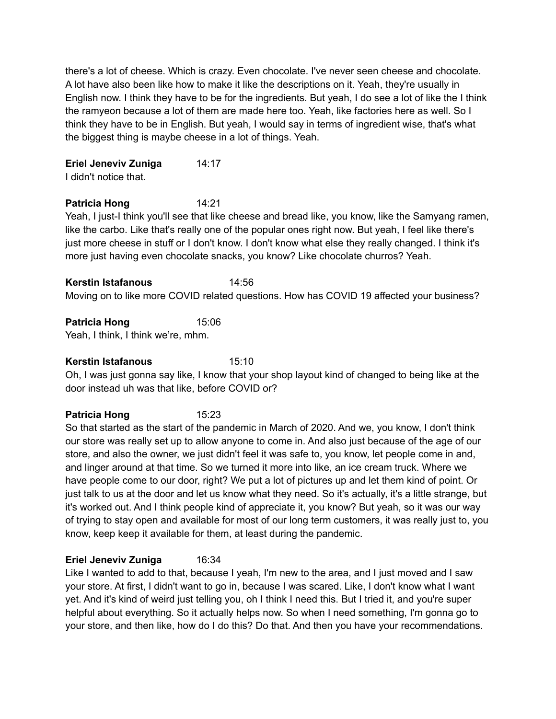there's a lot of cheese. Which is crazy. Even chocolate. I've never seen cheese and chocolate. A lot have also been like how to make it like the descriptions on it. Yeah, they're usually in English now. I think they have to be for the ingredients. But yeah, I do see a lot of like the I think the ramyeon because a lot of them are made here too. Yeah, like factories here as well. So I think they have to be in English. But yeah, I would say in terms of ingredient wise, that's what the biggest thing is maybe cheese in a lot of things. Yeah.

**Eriel Jeneviv Zuniga** 14:17 I didn't notice that.

#### **Patricia Hong** 14:21

Yeah, I just-I think you'll see that like cheese and bread like, you know, like the Samyang ramen, like the carbo. Like that's really one of the popular ones right now. But yeah, I feel like there's just more cheese in stuff or I don't know. I don't know what else they really changed. I think it's more just having even chocolate snacks, you know? Like chocolate churros? Yeah.

**Kerstin Istafanous** 14:56 Moving on to like more COVID related questions. How has COVID 19 affected your business?

**Patricia Hong** 15:06

Yeah, I think, I think we're, mhm.

#### **Kerstin Istafanous** 15:10

Oh, I was just gonna say like, I know that your shop layout kind of changed to being like at the door instead uh was that like, before COVID or?

# **Patricia Hong** 15:23

So that started as the start of the pandemic in March of 2020. And we, you know, I don't think our store was really set up to allow anyone to come in. And also just because of the age of our store, and also the owner, we just didn't feel it was safe to, you know, let people come in and, and linger around at that time. So we turned it more into like, an ice cream truck. Where we have people come to our door, right? We put a lot of pictures up and let them kind of point. Or just talk to us at the door and let us know what they need. So it's actually, it's a little strange, but it's worked out. And I think people kind of appreciate it, you know? But yeah, so it was our way of trying to stay open and available for most of our long term customers, it was really just to, you know, keep keep it available for them, at least during the pandemic.

### **Eriel Jeneviv Zuniga** 16:34

Like I wanted to add to that, because I yeah, I'm new to the area, and I just moved and I saw your store. At first, I didn't want to go in, because I was scared. Like, I don't know what I want yet. And it's kind of weird just telling you, oh I think I need this. But I tried it, and you're super helpful about everything. So it actually helps now. So when I need something, I'm gonna go to your store, and then like, how do I do this? Do that. And then you have your recommendations.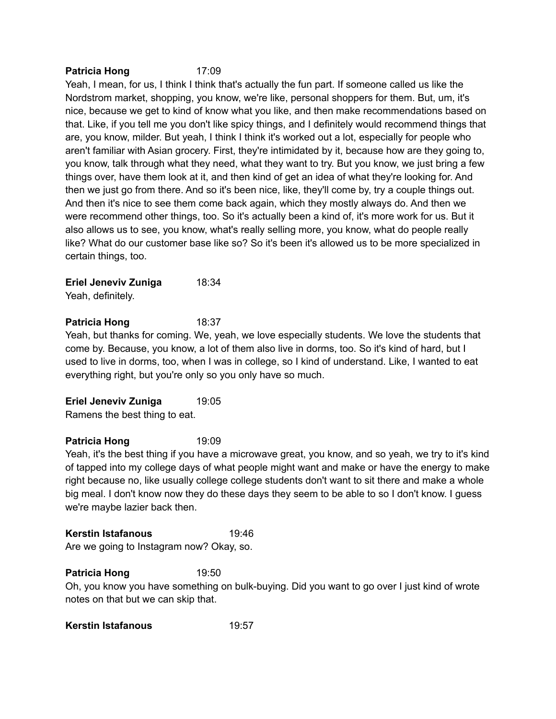#### **Patricia Hong** 17:09

Yeah, I mean, for us, I think I think that's actually the fun part. If someone called us like the Nordstrom market, shopping, you know, we're like, personal shoppers for them. But, um, it's nice, because we get to kind of know what you like, and then make recommendations based on that. Like, if you tell me you don't like spicy things, and I definitely would recommend things that are, you know, milder. But yeah, I think I think it's worked out a lot, especially for people who aren't familiar with Asian grocery. First, they're intimidated by it, because how are they going to, you know, talk through what they need, what they want to try. But you know, we just bring a few things over, have them look at it, and then kind of get an idea of what they're looking for. And then we just go from there. And so it's been nice, like, they'll come by, try a couple things out. And then it's nice to see them come back again, which they mostly always do. And then we were recommend other things, too. So it's actually been a kind of, it's more work for us. But it also allows us to see, you know, what's really selling more, you know, what do people really like? What do our customer base like so? So it's been it's allowed us to be more specialized in certain things, too.

**Eriel Jeneviv Zuniga** 18:34 Yeah, definitely.

### **Patricia Hong** 18:37

Yeah, but thanks for coming. We, yeah, we love especially students. We love the students that come by. Because, you know, a lot of them also live in dorms, too. So it's kind of hard, but I used to live in dorms, too, when I was in college, so I kind of understand. Like, I wanted to eat everything right, but you're only so you only have so much.

**Eriel Jeneviv Zuniga** 19:05 Ramens the best thing to eat.

#### **Patricia Hong** 19:09

Yeah, it's the best thing if you have a microwave great, you know, and so yeah, we try to it's kind of tapped into my college days of what people might want and make or have the energy to make right because no, like usually college college students don't want to sit there and make a whole big meal. I don't know now they do these days they seem to be able to so I don't know. I guess we're maybe lazier back then.

#### **Kerstin Istafanous** 19:46

Are we going to Instagram now? Okay, so.

#### **Patricia Hong** 19:50

Oh, you know you have something on bulk-buying. Did you want to go over I just kind of wrote notes on that but we can skip that.

**Kerstin Istafanous** 19:57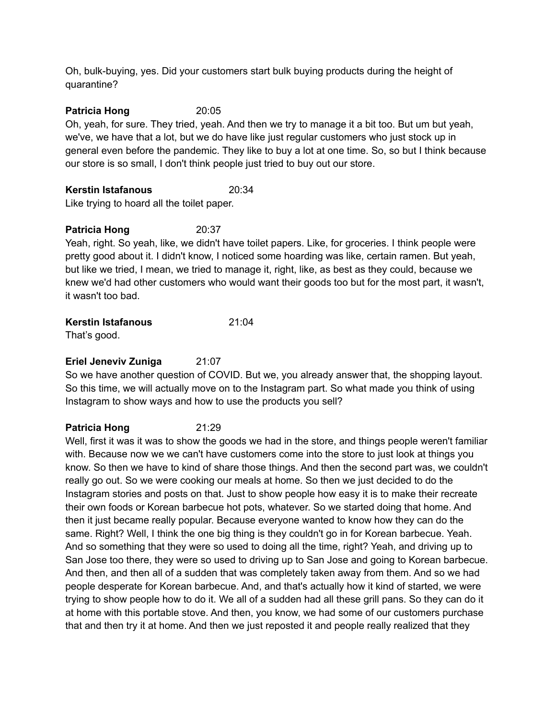Oh, bulk-buying, yes. Did your customers start bulk buying products during the height of quarantine?

### **Patricia Hong** 20:05

Oh, yeah, for sure. They tried, yeah. And then we try to manage it a bit too. But um but yeah, we've, we have that a lot, but we do have like just regular customers who just stock up in general even before the pandemic. They like to buy a lot at one time. So, so but I think because our store is so small, I don't think people just tried to buy out our store.

### **Kerstin Istafanous** 20:34

Like trying to hoard all the toilet paper.

# **Patricia Hong** 20:37

Yeah, right. So yeah, like, we didn't have toilet papers. Like, for groceries. I think people were pretty good about it. I didn't know, I noticed some hoarding was like, certain ramen. But yeah, but like we tried, I mean, we tried to manage it, right, like, as best as they could, because we knew we'd had other customers who would want their goods too but for the most part, it wasn't, it wasn't too bad.

# **Kerstin Istafanous** 21:04

That's good.

# **Eriel Jeneviv Zuniga** 21:07

So we have another question of COVID. But we, you already answer that, the shopping layout. So this time, we will actually move on to the Instagram part. So what made you think of using Instagram to show ways and how to use the products you sell?

# **Patricia Hong** 21:29

Well, first it was it was to show the goods we had in the store, and things people weren't familiar with. Because now we we can't have customers come into the store to just look at things you know. So then we have to kind of share those things. And then the second part was, we couldn't really go out. So we were cooking our meals at home. So then we just decided to do the Instagram stories and posts on that. Just to show people how easy it is to make their recreate their own foods or Korean barbecue hot pots, whatever. So we started doing that home. And then it just became really popular. Because everyone wanted to know how they can do the same. Right? Well, I think the one big thing is they couldn't go in for Korean barbecue. Yeah. And so something that they were so used to doing all the time, right? Yeah, and driving up to San Jose too there, they were so used to driving up to San Jose and going to Korean barbecue. And then, and then all of a sudden that was completely taken away from them. And so we had people desperate for Korean barbecue. And, and that's actually how it kind of started, we were trying to show people how to do it. We all of a sudden had all these grill pans. So they can do it at home with this portable stove. And then, you know, we had some of our customers purchase that and then try it at home. And then we just reposted it and people really realized that they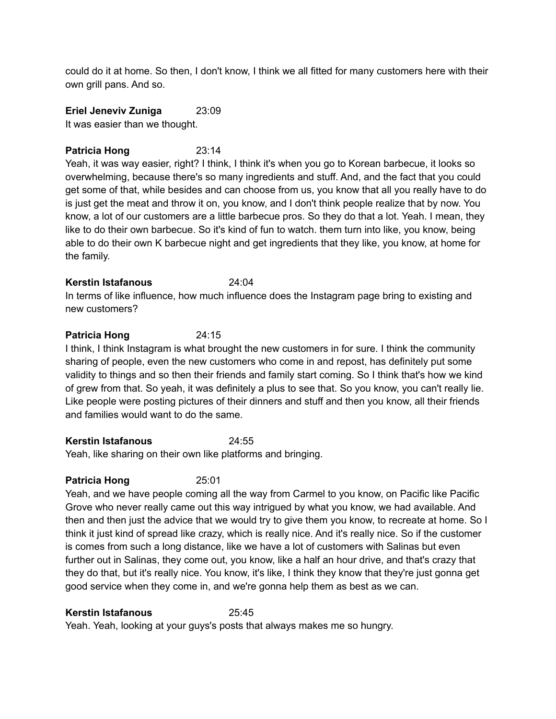could do it at home. So then, I don't know, I think we all fitted for many customers here with their own grill pans. And so.

**Eriel Jeneviv Zuniga** 23:09

It was easier than we thought.

### **Patricia Hong** 23:14

Yeah, it was way easier, right? I think, I think it's when you go to Korean barbecue, it looks so overwhelming, because there's so many ingredients and stuff. And, and the fact that you could get some of that, while besides and can choose from us, you know that all you really have to do is just get the meat and throw it on, you know, and I don't think people realize that by now. You know, a lot of our customers are a little barbecue pros. So they do that a lot. Yeah. I mean, they like to do their own barbecue. So it's kind of fun to watch. them turn into like, you know, being able to do their own K barbecue night and get ingredients that they like, you know, at home for the family.

### **Kerstin Istafanous** 24:04

In terms of like influence, how much influence does the Instagram page bring to existing and new customers?

# **Patricia Hong** 24:15

I think, I think Instagram is what brought the new customers in for sure. I think the community sharing of people, even the new customers who come in and repost, has definitely put some validity to things and so then their friends and family start coming. So I think that's how we kind of grew from that. So yeah, it was definitely a plus to see that. So you know, you can't really lie. Like people were posting pictures of their dinners and stuff and then you know, all their friends and families would want to do the same.

### **Kerstin Istafanous** 24:55

Yeah, like sharing on their own like platforms and bringing.

### **Patricia Hong** 25:01

Yeah, and we have people coming all the way from Carmel to you know, on Pacific like Pacific Grove who never really came out this way intrigued by what you know, we had available. And then and then just the advice that we would try to give them you know, to recreate at home. So I think it just kind of spread like crazy, which is really nice. And it's really nice. So if the customer is comes from such a long distance, like we have a lot of customers with Salinas but even further out in Salinas, they come out, you know, like a half an hour drive, and that's crazy that they do that, but it's really nice. You know, it's like, I think they know that they're just gonna get good service when they come in, and we're gonna help them as best as we can.

### **Kerstin Istafanous** 25:45

Yeah. Yeah, looking at your guys's posts that always makes me so hungry.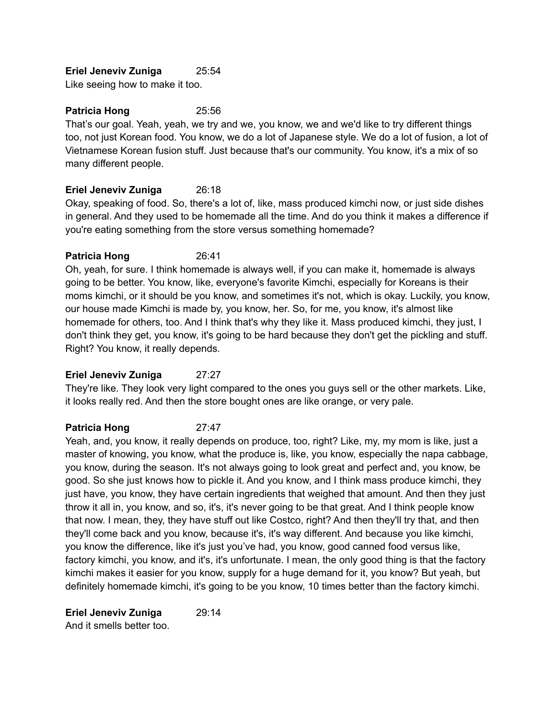### **Eriel Jeneviv Zuniga** 25:54

Like seeing how to make it too.

### **Patricia Hong** 25:56

That's our goal. Yeah, yeah, we try and we, you know, we and we'd like to try different things too, not just Korean food. You know, we do a lot of Japanese style. We do a lot of fusion, a lot of Vietnamese Korean fusion stuff. Just because that's our community. You know, it's a mix of so many different people.

### **Eriel Jeneviv Zuniga** 26:18

Okay, speaking of food. So, there's a lot of, like, mass produced kimchi now, or just side dishes in general. And they used to be homemade all the time. And do you think it makes a difference if you're eating something from the store versus something homemade?

### **Patricia Hong** 26:41

Oh, yeah, for sure. I think homemade is always well, if you can make it, homemade is always going to be better. You know, like, everyone's favorite Kimchi, especially for Koreans is their moms kimchi, or it should be you know, and sometimes it's not, which is okay. Luckily, you know, our house made Kimchi is made by, you know, her. So, for me, you know, it's almost like homemade for others, too. And I think that's why they like it. Mass produced kimchi, they just, I don't think they get, you know, it's going to be hard because they don't get the pickling and stuff. Right? You know, it really depends.

### **Eriel Jeneviv Zuniga** 27:27

They're like. They look very light compared to the ones you guys sell or the other markets. Like, it looks really red. And then the store bought ones are like orange, or very pale.

# **Patricia Hong** 27:47

Yeah, and, you know, it really depends on produce, too, right? Like, my, my mom is like, just a master of knowing, you know, what the produce is, like, you know, especially the napa cabbage, you know, during the season. It's not always going to look great and perfect and, you know, be good. So she just knows how to pickle it. And you know, and I think mass produce kimchi, they just have, you know, they have certain ingredients that weighed that amount. And then they just throw it all in, you know, and so, it's, it's never going to be that great. And I think people know that now. I mean, they, they have stuff out like Costco, right? And then they'll try that, and then they'll come back and you know, because it's, it's way different. And because you like kimchi, you know the difference, like it's just you've had, you know, good canned food versus like, factory kimchi, you know, and it's, it's unfortunate. I mean, the only good thing is that the factory kimchi makes it easier for you know, supply for a huge demand for it, you know? But yeah, but definitely homemade kimchi, it's going to be you know, 10 times better than the factory kimchi.

**Eriel Jeneviv Zuniga** 29:14 And it smells better too.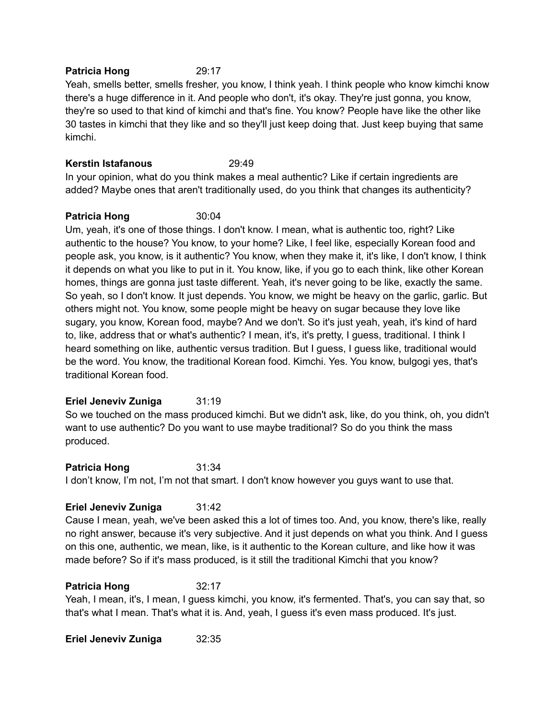#### **Patricia Hong** 29:17

Yeah, smells better, smells fresher, you know, I think yeah. I think people who know kimchi know there's a huge difference in it. And people who don't, it's okay. They're just gonna, you know, they're so used to that kind of kimchi and that's fine. You know? People have like the other like 30 tastes in kimchi that they like and so they'll just keep doing that. Just keep buying that same kimchi.

### **Kerstin Istafanous** 29:49

In your opinion, what do you think makes a meal authentic? Like if certain ingredients are added? Maybe ones that aren't traditionally used, do you think that changes its authenticity?

### **Patricia Hong** 30:04

Um, yeah, it's one of those things. I don't know. I mean, what is authentic too, right? Like authentic to the house? You know, to your home? Like, I feel like, especially Korean food and people ask, you know, is it authentic? You know, when they make it, it's like, I don't know, I think it depends on what you like to put in it. You know, like, if you go to each think, like other Korean homes, things are gonna just taste different. Yeah, it's never going to be like, exactly the same. So yeah, so I don't know. It just depends. You know, we might be heavy on the garlic, garlic. But others might not. You know, some people might be heavy on sugar because they love like sugary, you know, Korean food, maybe? And we don't. So it's just yeah, yeah, it's kind of hard to, like, address that or what's authentic? I mean, it's, it's pretty, I guess, traditional. I think I heard something on like, authentic versus tradition. But I guess, I guess like, traditional would be the word. You know, the traditional Korean food. Kimchi. Yes. You know, bulgogi yes, that's traditional Korean food.

### **Eriel Jeneviv Zuniga** 31:19

So we touched on the mass produced kimchi. But we didn't ask, like, do you think, oh, you didn't want to use authentic? Do you want to use maybe traditional? So do you think the mass produced.

**Patricia Hong** 31:34 I don't know, I'm not, I'm not that smart. I don't know however you guys want to use that.

### **Eriel Jeneviv Zuniga** 31:42

Cause I mean, yeah, we've been asked this a lot of times too. And, you know, there's like, really no right answer, because it's very subjective. And it just depends on what you think. And I guess on this one, authentic, we mean, like, is it authentic to the Korean culture, and like how it was made before? So if it's mass produced, is it still the traditional Kimchi that you know?

### **Patricia Hong** 32:17

Yeah, I mean, it's, I mean, I guess kimchi, you know, it's fermented. That's, you can say that, so that's what I mean. That's what it is. And, yeah, I guess it's even mass produced. It's just.

**Eriel Jeneviv Zuniga** 32:35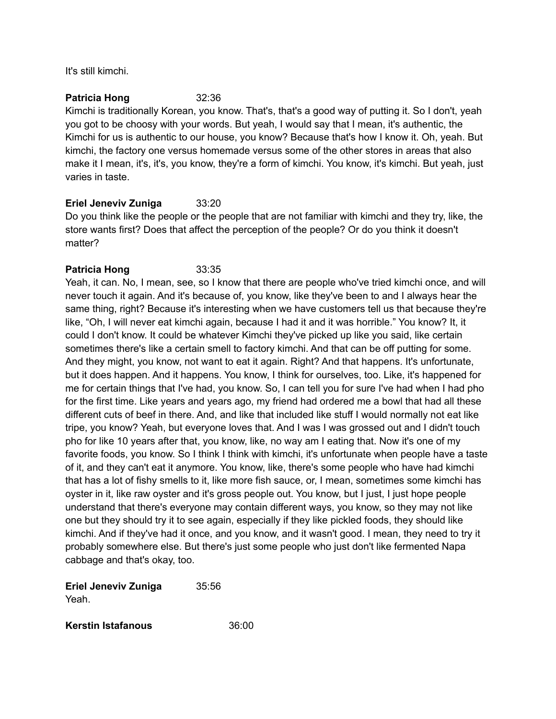It's still kimchi.

#### **Patricia Hong** 32:36

Kimchi is traditionally Korean, you know. That's, that's a good way of putting it. So I don't, yeah you got to be choosy with your words. But yeah, I would say that I mean, it's authentic, the Kimchi for us is authentic to our house, you know? Because that's how I know it. Oh, yeah. But kimchi, the factory one versus homemade versus some of the other stores in areas that also make it I mean, it's, it's, you know, they're a form of kimchi. You know, it's kimchi. But yeah, just varies in taste.

### **Eriel Jeneviv Zuniga** 33:20

Do you think like the people or the people that are not familiar with kimchi and they try, like, the store wants first? Does that affect the perception of the people? Or do you think it doesn't matter?

### **Patricia Hong** 33:35

Yeah, it can. No, I mean, see, so I know that there are people who've tried kimchi once, and will never touch it again. And it's because of, you know, like they've been to and I always hear the same thing, right? Because it's interesting when we have customers tell us that because they're like, "Oh, I will never eat kimchi again, because I had it and it was horrible." You know? It, it could I don't know. It could be whatever Kimchi they've picked up like you said, like certain sometimes there's like a certain smell to factory kimchi. And that can be off putting for some. And they might, you know, not want to eat it again. Right? And that happens. It's unfortunate, but it does happen. And it happens. You know, I think for ourselves, too. Like, it's happened for me for certain things that I've had, you know. So, I can tell you for sure I've had when I had pho for the first time. Like years and years ago, my friend had ordered me a bowl that had all these different cuts of beef in there. And, and like that included like stuff I would normally not eat like tripe, you know? Yeah, but everyone loves that. And I was I was grossed out and I didn't touch pho for like 10 years after that, you know, like, no way am I eating that. Now it's one of my favorite foods, you know. So I think I think with kimchi, it's unfortunate when people have a taste of it, and they can't eat it anymore. You know, like, there's some people who have had kimchi that has a lot of fishy smells to it, like more fish sauce, or, I mean, sometimes some kimchi has oyster in it, like raw oyster and it's gross people out. You know, but I just, I just hope people understand that there's everyone may contain different ways, you know, so they may not like one but they should try it to see again, especially if they like pickled foods, they should like kimchi. And if they've had it once, and you know, and it wasn't good. I mean, they need to try it probably somewhere else. But there's just some people who just don't like fermented Napa cabbage and that's okay, too.

**Eriel Jeneviv Zuniga** 35:56 Yeah.

**Kerstin Istafanous** 36:00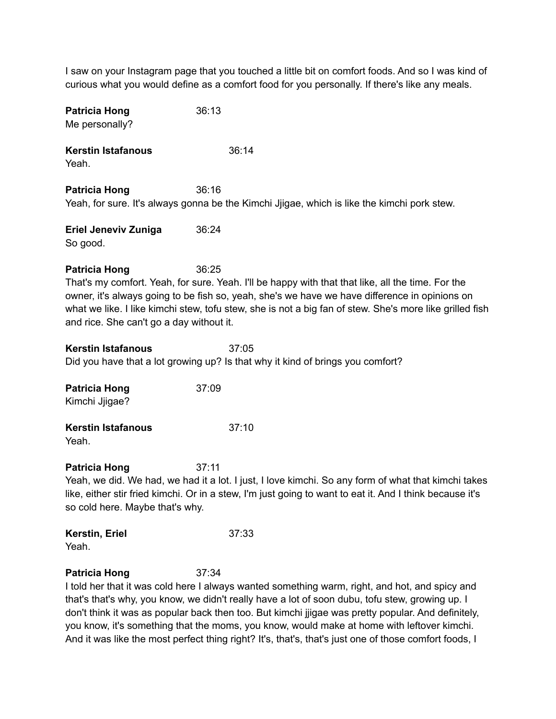I saw on your Instagram page that you touched a little bit on comfort foods. And so I was kind of curious what you would define as a comfort food for you personally. If there's like any meals.

| <b>Patricia Hong</b><br>Me personally?                           | 36:13                                                                                                                                                                                                                                                                                                                  |
|------------------------------------------------------------------|------------------------------------------------------------------------------------------------------------------------------------------------------------------------------------------------------------------------------------------------------------------------------------------------------------------------|
| <b>Kerstin Istafanous</b><br>Yeah.                               | 36:14                                                                                                                                                                                                                                                                                                                  |
| <b>Patricia Hong</b>                                             | 36:16<br>Yeah, for sure. It's always gonna be the Kimchi Jjigae, which is like the kimchi pork stew.                                                                                                                                                                                                                   |
| <b>Eriel Jeneviv Zuniga</b><br>So good.                          | 36:24                                                                                                                                                                                                                                                                                                                  |
| <b>Patricia Hong</b><br>and rice. She can't go a day without it. | 36:25<br>That's my comfort. Yeah, for sure. Yeah. I'll be happy with that that like, all the time. For the<br>owner, it's always going to be fish so, yeah, she's we have we have difference in opinions on<br>what we like. I like kimchi stew, tofu stew, she is not a big fan of stew. She's more like grilled fish |
| <b>Kerstin Istafanous</b>                                        | 37:05<br>Did you have that a lot growing up? Is that why it kind of brings you comfort?                                                                                                                                                                                                                                |
| <b>Patricia Hong</b><br>Kimchi Jjigae?                           | 37:09                                                                                                                                                                                                                                                                                                                  |
| <b>Kerstin Istafanous</b><br>Yeah.                               | 37:10                                                                                                                                                                                                                                                                                                                  |
| <b>Patricia Hong</b><br>so cold here. Maybe that's why.          | 37:11<br>Yeah, we did. We had, we had it a lot. I just, I love kimchi. So any form of what that kimchi takes<br>like, either stir fried kimchi. Or in a stew, I'm just going to want to eat it. And I think because it's                                                                                               |
| Kerstin, Eriel<br>Yeah.                                          | 37:33                                                                                                                                                                                                                                                                                                                  |
| <b>Patricia Hong</b>                                             | 37:34<br>hold her that it was cold here I always wanted something warm, right, and hot, and spiey and                                                                                                                                                                                                                  |

I told her that it was cold here I always wanted something warm, right, and hot, and spicy and that's that's why, you know, we didn't really have a lot of soon dubu, tofu stew, growing up. I don't think it was as popular back then too. But kimchi jjigae was pretty popular. And definitely, you know, it's something that the moms, you know, would make at home with leftover kimchi. And it was like the most perfect thing right? It's, that's, that's just one of those comfort foods, I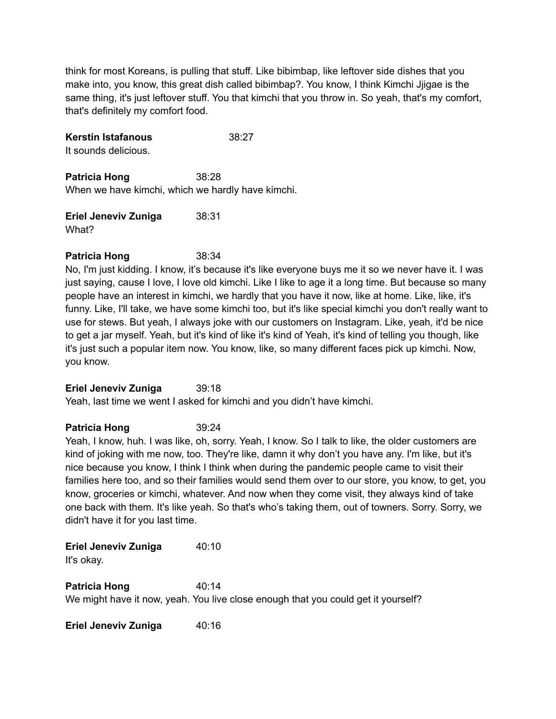think for most Koreans, is pulling that stuff. Like bibimbap, like leftover side dishes that you make into, you know, this great dish called bibimbap?. You know, I think Kimchi Jjigae is the same thing, it's just leftover stuff. You that kimchi that you throw in. So yeah, that's my comfort, that's definitely my comfort food.

### **Kerstin Istafanous** 38:27

It sounds delicious.

**Patricia Hong** 38:28 When we have kimchi, which we hardly have kimchi.

**Eriel Jeneviv Zuniga** 38:31 What?

### **Patricia Hong** 38:34

No, I'm just kidding. I know, it's because it's like everyone buys me it so we never have it. I was just saying, cause I love, I love old kimchi. Like I like to age it a long time. But because so many people have an interest in kimchi, we hardly that you have it now, like at home. Like, like, it's funny. Like, I'll take, we have some kimchi too, but it's like special kimchi you don't really want to use for stews. But yeah, I always joke with our customers on Instagram. Like, yeah, it'd be nice to get a jar myself. Yeah, but it's kind of like it's kind of Yeah, it's kind of telling you though, like it's just such a popular item now. You know, like, so many different faces pick up kimchi. Now, you know.

#### **Eriel Jeneviv Zuniga** 39:18

Yeah, last time we went I asked for kimchi and you didn't have kimchi.

### **Patricia Hong** 39:24

Yeah, I know, huh. I was like, oh, sorry. Yeah, I know. So I talk to like, the older customers are kind of joking with me now, too. They're like, damn it why don't you have any. I'm like, but it's nice because you know, I think I think when during the pandemic people came to visit their families here too, and so their families would send them over to our store, you know, to get, you know, groceries or kimchi, whatever. And now when they come visit, they always kind of take one back with them. It's like yeah. So that's who's taking them, out of towners. Sorry. Sorry, we didn't have it for you last time.

**Eriel Jeneviv Zuniga** 40:10 It's okay.

**Patricia Hong** 40:14 We might have it now, yeah. You live close enough that you could get it yourself?

**Eriel Jeneviv Zuniga** 40:16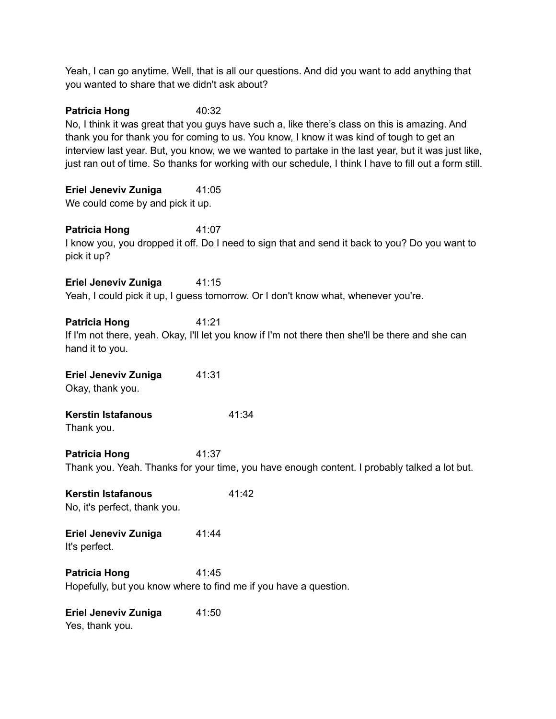Yeah, I can go anytime. Well, that is all our questions. And did you want to add anything that you wanted to share that we didn't ask about?

**Patricia Hong** 40:32 No, I think it was great that you guys have such a, like there's class on this is amazing. And thank you for thank you for coming to us. You know, I know it was kind of tough to get an interview last year. But, you know, we we wanted to partake in the last year, but it was just like, just ran out of time. So thanks for working with our schedule, I think I have to fill out a form still.

**Eriel Jeneviv Zuniga** 41:05 We could come by and pick it up.

**Patricia Hong** 41:07 I know you, you dropped it off. Do I need to sign that and send it back to you? Do you want to pick it up?

**Eriel Jeneviv Zuniga** 41:15 Yeah, I could pick it up, I guess tomorrow. Or I don't know what, whenever you're.

#### **Patricia Hong** 41:21

If I'm not there, yeah. Okay, I'll let you know if I'm not there then she'll be there and she can hand it to you.

**Eriel Jeneviv Zuniga** 41:31 Okay, thank you.

**Kerstin Istafanous** 41:34 Thank you.

**Patricia Hong** 41:37 Thank you. Yeah. Thanks for your time, you have enough content. I probably talked a lot but.

**Kerstin Istafanous** 41:42 No, it's perfect, thank you.

**Eriel Jeneviv Zuniga** 41:44 It's perfect.

**Patricia Hong** 41:45 Hopefully, but you know where to find me if you have a question.

**Eriel Jeneviv Zuniga** 41:50 Yes, thank you.